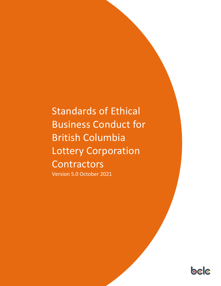# Standards of Ethical Business Conduct for British Columbia Lottery Corporation **Contractors**

Version 5.0 October 2021

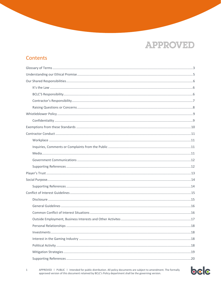### **Contents**



APPROVED | PUBLIC | Intended for public distribution. All policy documents are subject to amendment. The formally approved version of this document retained by BCLC's Policy department shall be the governing version.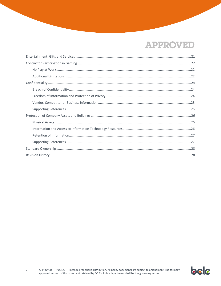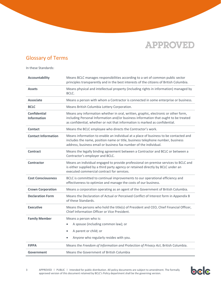

### <span id="page-3-0"></span>Glossary of Terms

In these Standards:

| <b>Accountability</b>                     | Means BCLC manages responsibilities according to a set of common public sector<br>principles transparently and in the best interests of the citizens of British Columbia.                                                                                |
|-------------------------------------------|----------------------------------------------------------------------------------------------------------------------------------------------------------------------------------------------------------------------------------------------------------|
| <b>Assets</b>                             | Means physical and intellectual property (including rights in information) managed by<br>BCLC.                                                                                                                                                           |
| <b>Associate</b>                          | Means a person with whom a Contractor is connected in some enterprise or business.                                                                                                                                                                       |
| <b>BCLC</b>                               | Means British Columbia Lottery Corporation.                                                                                                                                                                                                              |
| <b>Confidential</b><br><b>Information</b> | Means any information whether in oral, written, graphic, electronic or other form,<br>including Personal Information and/or business information that ought to be treated<br>as confidential, whether or not that information is marked as confidential. |
| <b>Contact</b>                            | Means the BCLC employee who directs the Contractor's work.                                                                                                                                                                                               |
| <b>Contact Information</b>                | Means information to enable an individual at a place of business to be contacted and<br>includes the name, position name or title, business telephone number, business<br>address, business email or business fax number of the individual.              |
| <b>Contract</b>                           | Means the legally binding agreement between a Contractor and BCLC or between a<br>Contractor's employer and BCLC.                                                                                                                                        |
| <b>Contractor</b>                         | Means an individual engaged to provide professional on-premise services to BCLC and<br>is either supplied by a third party agency or retained directly by BCLC under an<br>executed commercial contract for services.                                    |
| <b>Cost Consciousness</b>                 | BCLC is committed to continual improvements to our operational efficiency and<br>effectiveness to optimize and manage the costs of our business.                                                                                                         |
| <b>Crown Corporation</b>                  | Means a corporation operating as an agent of the Government of British Columbia.                                                                                                                                                                         |
| <b>Declaration Form</b>                   | Means the Declaration of Actual or Perceived Conflict of Interest form in Appendix B<br>of these Standards.                                                                                                                                              |
| <b>Executive</b>                          | Means the persons who hold the title(s) of President and CEO, Chief Financial Officer,<br>Chief Information Officer or Vice President.                                                                                                                   |
| <b>Family Member</b>                      | Means a person who is:                                                                                                                                                                                                                                   |
|                                           | A spouse (including common law); or<br>$\bullet$                                                                                                                                                                                                         |
|                                           | A parent or child; or<br>$\bullet$                                                                                                                                                                                                                       |
|                                           | Anyone who regularly resides with you.                                                                                                                                                                                                                   |
| <b>FIPPA</b>                              | Means the Freedom of Information and Protection of Privacy Act, British Columbia.                                                                                                                                                                        |
| Government                                | Means the Government of British Columbia                                                                                                                                                                                                                 |

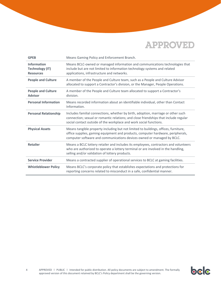| <b>GPEB</b>                                                      | Means Gaming Policy and Enforcement Branch.                                                                                                                                                                                                      |
|------------------------------------------------------------------|--------------------------------------------------------------------------------------------------------------------------------------------------------------------------------------------------------------------------------------------------|
| <b>Information</b><br><b>Technology (IT)</b><br><b>Resources</b> | Means BCLC-owned or managed information and communications technologies that<br>include but are not limited to information technology systems and related<br>applications, infrastructure and networks.                                          |
| <b>People and Culture</b>                                        | A member of the People and Culture team, such as a People and Culture Advisor<br>allocated to support a Contractor's division, or the Manager, People Operations.                                                                                |
| <b>People and Culture</b><br><b>Advisor</b>                      | A member of the People and Culture team allocated to support a Contractor's<br>division.                                                                                                                                                         |
| <b>Personal Information</b>                                      | Means recorded information about an identifiable individual, other than Contact<br>Information.                                                                                                                                                  |
| <b>Personal Relationship</b>                                     | Includes familial connections, whether by birth, adoption, marriage or other such<br>connection; sexual or romantic relations; and close friendships that include regular<br>social contact outside of the workplace and work social functions.  |
| <b>Physical Assets</b>                                           | Means tangible property including but not limited to buildings, offices, furniture,<br>office supplies, gaming equipment and products, computer hardware, peripherals,<br>computer software and communications devices owned or managed by BCLC. |
| <b>Retailer</b>                                                  | Means a BCLC lottery retailer and includes its employees, contractors and volunteers<br>who are authorized to operate a lottery terminal or are involved in the handling,<br>selling and/or validation of lottery products.                      |
| <b>Service Provider</b>                                          | Means a contracted supplier of operational services to BCLC at gaming facilities.                                                                                                                                                                |
| <b>Whistleblower Policy</b>                                      | Means BCLC's corporate policy that establishes expectations and protections for<br>reporting concerns related to misconduct in a safe, confidential manner.                                                                                      |

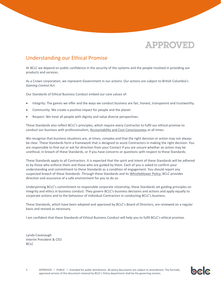

### <span id="page-5-0"></span>Understanding our Ethical Promise

At BCLC we depend on public confidence in the security of the systems and the people involved in providing our products and services.

As a Crown corporation, we represent Government in our actions. Our actions are subject to British Columbia's *Gaming Control Act*.

Our Standards of Ethical Business Conduct embed our core values of:

- Integrity: The games we offer and the ways we conduct business are fair, honest, transparent and trustworthy.
- Community: We create a positive impact for people and the planet.
- Respect: We treat all people with dignity and value diverse perspectives.

These Standards also reflect BCLC's principles, which require every Contractor to fulfil our ethical promise to conduct our business with professionalism[, Accountability and Cost Consciousness](http://www.llbc.leg.bc.ca/public/pubdocs/bcdocs2014_2/543006/taxpayer_accountability_principles.pdf) at all times.

We recognize that business situations are, at times, complex and that the right decision or action may not always be clear. These Standards form a framework that is designed to assist Contractors in making the right decision. You are responsible to find out or ask for direction from your Contact if you are unsure whether an action may be unethical, in breach of these Standards, or if you have concerns or questions with respect to these Standards.

These Standards apply to all Contractors. It is expected that the spirit and intent of these Standards will be adhered to by those who enforce them and those who are guided by them. Each of you is asked to confirm your understanding and commitment to these Standards as a condition of engagement. You should report any suspected breach of these Standards. Through these Standards and its [Whistleblower Policy,](http://corporate.bclc.com/content/dam/bclc/corporate/documents/whistleblower-policy.pdf) BCLC provides direction and assurance of a safe environment for you to do so.

Underpinning BCLC's commitment to responsible corporate citizenship, these Standards set guiding principles on integrity and ethics in business conduct. They govern BCLC's business decisions and actions and apply equally to corporate actions and to the behaviour of individual Contractors in conducting BCLC's business.

These Standards, which have been adopted and approved by BCLC's Board of Directors, are reviewed on a regular basis and revised as necessary.

I am confident that these Standards of Ethical Business Conduct will help you to fulfil BCLC's ethical promise.

Lynda Cavanaugh Interim President & CEO BCLC

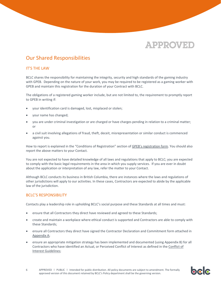

### <span id="page-6-0"></span>Our Shared Responsibilities

#### <span id="page-6-1"></span>IT'S THE LAW

BCLC shares the responsibility for maintaining the integrity, security and high standards of the gaming industry with GPEB. Depending on the nature of your work, you may be required to be registered as a gaming worker with GPEB and maintain this registration for the duration of your Contract with BCLC.

The obligations of a registered gaming worker include, but are not limited to, the requirement to promptly report to GPEB in writing if:

- your identification card is damaged, lost, misplaced or stolen;
- your name has changed;
- you are under criminal investigation or are charged or have charges pending in relation to a criminal matter; or
- a civil suit involving allegations of fraud, theft, deceit, misrepresentation or similar conduct is commenced against you.

How to report is explained in the "Conditions of Registration" section of GPEB's r[egistration form.](https://www2.gov.bc.ca/gov/content/sports-culture/gambling-fundraising/registration-certification/gambling-workers#conditions-registration-gamworker) You should also report the above matters to your Contact.

You are not expected to have detailed knowledge of all laws and regulations that apply to BCLC; you are expected to comply with the basic legal requirements in the area in which you supply services. If you are ever in doubt about the application or interpretation of any law, refer the matter to your Contact.

Although BCLC conducts its business in British Columbia, there are instances where the laws and regulations of other jurisdictions will apply to our activities. In these cases, Contractors are expected to abide by the applicable law of the jurisdiction.

#### <span id="page-6-2"></span>BCLC'S RESPONSIBILITY

Contacts play a leadership role in upholding BCLC's social purpose and these Standards at all times and must:

- ensure that all Contractors they direct have reviewed and agreed to these Standards;
- create and maintain a workplace where ethical conduct is supported and Contractors are able to comply with these Standards;
- ensure all Contractors they direct have signed the Contractor Declaration and Commitment form attached in [Appendix A;](#page-30-0)
- ensure an appropriate mitigation strategy has been implemented and documented (using Appendix B) for all Contractors who have identified an Actual, or Perceived Conflict of Interest as defined in the [Conflict of](#page-15-0)  [Interest Guidelines;](#page-15-0)

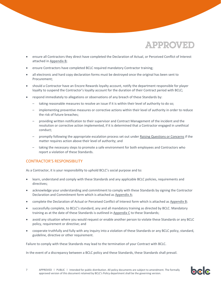- ensure all Contractors they direct have completed the Declaration of Actual, or Perceived Conflict of Interest attached in [Appendix B;](#page-31-0)
- ensure Contractors have completed BCLC required mandatory Contractor training;
- all electronic and hard copy declaration forms must be destroyed once the original has been sent to Procurement;
- should a Contractor have an Encore Rewards loyalty account, notify the department responsible for player loyalty to suspend the Contractor's loyalty account for the duration of their Contract period with BCLC;
- respond immediately to allegations or observations of any breach of these Standards by:
	- taking reasonable measures to resolve an issue if it is within their level of authority to do so;
	- implementing preventive measures or corrective actions within their level of authority in order to reduce the risk of future breaches;
	- providing written notification to their supervisor and Contract Management of the incident and the resolution or corrective action implemented, if it is determined that a Contractor engaged in unethical conduct;
	- promptly following the appropriate escalation process set out unde[r Raising Questions or Concerns](#page-8-0) if the matter requires action above their level of authority; and
	- taking the necessary steps to promote a safe environment for both employees and Contractors who report a violation of these Standards.

#### <span id="page-7-0"></span>CONTRACTOR'S RESPONSIBILITY

As a Contractor, it is your responsibility to uphold BCLC's social purpose and to:

- learn, understand and comply with these Standards and any applicable BCLC policies, requirements and directives;
- acknowledge your understanding and commitment to comply with these Standards by signing the Contractor Declaration and Commitment form which is attached as [Appendix A;](#page-30-0)
- complete the Declaration of Actual or Perceived Conflict of Interest form which is attached a[s Appendix B;](#page-31-0)
- successfully complete, to BCLC's standard, any and all mandatory training as directed by BCLC. Mandatory training as at the date of these Standards is outlined in [Appendix C](#page-33-0) to these Standards;
- avoid any situation where you would request or enable another person to violate these Standards or any BCLC policy, requirement or directive; and
- cooperate truthfully and fully with any inquiry into a violation of these Standards or any BCLC policy, standard, guideline, directive or other requirement.

Failure to comply with these Standards may lead to the termination of your Contract with BCLC.

In the event of a discrepancy between a BCLC policy and these Standards, these Standards shall prevail.

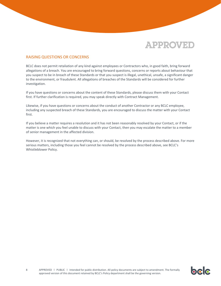

#### <span id="page-8-0"></span>RAISING QUESTIONS OR CONCERNS

BCLC does not permit retaliation of any kind against employees or Contractors who, in good faith, bring forward allegations of a breach. You are encouraged to bring forward questions, concerns or reports about behaviour that you suspect to be in breach of these Standards or that you suspect is illegal, unethical, unsafe, a significant danger to the environment, or fraudulent. All allegations of breaches of the Standards will be considered for further investigation.

If you have questions or concerns about the content of these Standards, please discuss them with your Contact first. If further clarification is required, you may speak directly with Contract Management.

Likewise, if you have questions or concerns about the conduct of another Contractor or any BCLC employee, including any suspected breach of these Standards, you are encouraged to discuss the matter with your Contact first.

If you believe a matter requires a resolution and it has not been reasonably resolved by your Contact, or if the matter is one which you feel unable to discuss with your Contact, then you may escalate the matter to a member of senior management in the affected division.

However, it is recognized that not everything can, or should, be resolved by the process described above. For more serious matters, including those you feel cannot be resolved by the process described above, see BCLC's Whistleblower Policy.

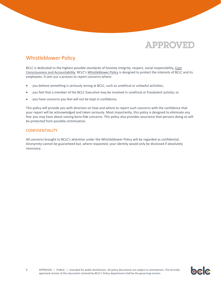### <span id="page-9-0"></span>Whistleblower Policy

BCLC is dedicated to the highest possible standards of honesty integrity, respect, social responsibility[, Cost](http://www.llbc.leg.bc.ca/public/pubdocs/bcdocs2014_2/543006/taxpayer_accountability_principles.pdf)  [Consciousness and Accountability](http://www.llbc.leg.bc.ca/public/pubdocs/bcdocs2014_2/543006/taxpayer_accountability_principles.pdf). BCLC's [Whistleblower Policy](http://corporate.bclc.com/content/dam/bclc/corporate/documents/whistleblower-policy.pdf) is designed to protect the interests of BCLC and its employees. It sets out a process to report concerns where:

- you believe something is seriously wrong at BCLC, such as unethical or unlawful activities;
- you feel that a member of the BCLC Executive may be involved in unethical or fraudulent activity; or
- you have concerns you feel will not be kept in confidence.

This policy will provide you with direction on how and where to report such concerns with the confidence that your report will be acknowledged and taken seriously. Most importantly, this policy is designed to eliminate any fear you may have about voicing bona fide concerns. This policy also provides assurance that persons doing so will be protected from possible victimization.

#### <span id="page-9-1"></span>CONFIDENTIALITY

All concerns brought to BCLC's attention under the Whistleblower Policy will be regarded as confidential. Anonymity cannot be guaranteed but, where requested, your identity would only be disclosed if absolutely necessary.

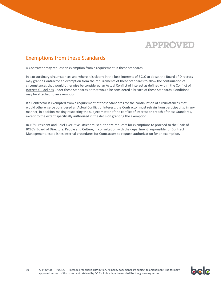

### <span id="page-10-0"></span>Exemptions from these Standards

A Contractor may request an exemption from a requirement in these Standards.

In extraordinary circumstances and where it is clearly in the best interests of BCLC to do so, the Board of Directors may grant a Contractor an exemption from the requirements of these Standards to allow the continuation of circumstances that would otherwise be considered an Actual Conflict of Interest as defined within th[e Conflict of](#page-15-0)  [Interest Guidelines](#page-15-0) under these Standards or that would be considered a breach of these Standards. Conditions may be attached to an exemption.

If a Contractor is exempted from a requirement of these Standards for the continuation of circumstances that would otherwise be considered an Actual Conflict of Interest, the Contractor must refrain from participating, in any manner, in decision-making respecting the subject matter of the conflict of interest or breach of these Standards, except to the extent specifically authorized in the decision granting the exemption.

BCLC's President and Chief Executive Officer must authorize requests for exemptions to proceed to the Chair of BCLC's Board of Directors. People and Culture, in consultation with the department responsible for Contract Management, establishes internal procedures for Contractors to request authorization for an exemption.



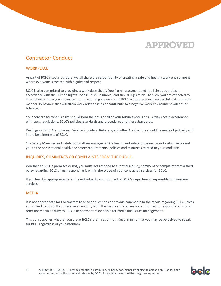### <span id="page-11-0"></span>Contractor Conduct

#### <span id="page-11-1"></span>**WORKPLACE**

As part of BCLC's social purpose, we all share the responsibility of creating a safe and healthy work environment where everyone is treated with dignity and respect.

BCLC is also committed to providing a workplace that is free from harassment and at all times operates in accordance with the Human Rights Code (British Columbia) and similar legislation. As such, you are expected to interact with those you encounter during your engagement with BCLC in a professional, respectful and courteous manner. Behaviour that will strain work relationships or contribute to a negative work environment will not be tolerated.

Your concern for what is right should form the basis of all of your business decisions. Always act in accordance with laws, regulations, BCLC's policies, standards and procedures and these Standards.

Dealings with BCLC employees, Service Providers, Retailers, and other Contractors should be made objectively and in the best interests of BCLC.

Our Safety Manager and Safety Committees manage BCLC's health and safety program. Your Contact will orient you to the occupational health and safety requirements, policies and resources related to your work site.

#### <span id="page-11-2"></span>INQUIRIES, COMMENTS OR COMPLAINTS FROM THE PUBLIC

Whether at BCLC's premises or not, you must not respond to a formal inquiry, comment or complaint from a third party regarding BCLC unless responding is within the scope of your contracted services for BCLC.

If you feel it is appropriate, refer the individual to your Contact or BCLC's department responsible for consumer services.

#### <span id="page-11-3"></span>MEDIA

It is not appropriate for Contractors to answer questions or provide comments to the media regarding BCLC unless authorized to do so. If you receive an enquiry from the media and you are not authorized to respond, you should refer the media enquiry to BCLC's department responsible for media and issues management.

This policy applies whether you are at BCLC's premises or not. Keep in mind that you may be perceived to speak for BCLC regardless of your intention.

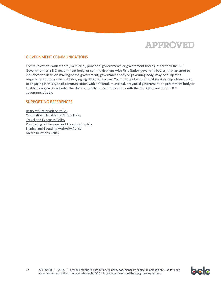

#### <span id="page-12-0"></span>GOVERNMENT COMMUNICATIONS

Communications with federal, municipal, provincial governments or government bodies, other than the B.C. Government or a B.C. government body, or communications with First Nation governing bodies, that attempt to influence the decision-making of the government, government body or governing body, may be subject to requirements under relevant lobbying legislation or bylaws. You must contact the Legal Services department prior to engaging in this type of communication with a federal, municipal, provincial government or government body or First Nation governing body. This does not apply to communications with the B.C. Government or a B.C. government body.

#### <span id="page-12-1"></span>SUPPORTING REFERENCES

[Respectful Workplace Policy](http://corporate.bclc.com/content/dam/bclc/corporate/documents/harassment-policy.pdf) [Occupational Health and Safety Policy](http://corporate.bclc.com/content/dam/bclc/corporate/documents/occupational-health-and-safety-policy.pdf) Travel and [Expenses Policy](http://corporate.bclc.com/content/dam/bclc/corporate/documents/travel-and-expense-policy.pdf) [Purchasing Bid Process](http://corporate.bclc.com/content/dam/bclc/corporate/documents/purchasing-bid-process-thresholds-and-policy.pdf) and Thresholds Policy [Signing and Spending Authority Policy](http://corporate.bclc.com/content/dam/bclc/corporate/documents/spending-and-signing-authority.pdf) [Media Relations Policy](http://corporate.bclc.com/content/dam/bclc/corporate/documents/media-relations-policy-for-bclc-employees.pdf)

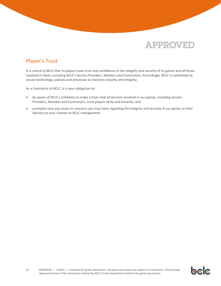

### <span id="page-13-0"></span>Player's Trust

It is critical to BCLC that its players have trust and confidence in the integrity and security of its games and all those involved in them, including BCLC's Service Providers, Retailers and Contractors. Accordingly, BCLC is committed to secure technology, policies and processes to maintain security and integrity.

As a Contractor of BCLC, it is your obligation to:

- be aware of BCLC's initiatives to make certain that all persons involved in our games, including Service Providers, Retailers and Contractors, treat players fairly and honestly; and
- promptly raise any issues or concerns you may have regarding the integrity and security of our games or their delivery to your Contact or BCLC management.

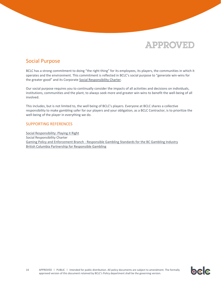

### <span id="page-14-0"></span>Social Purpose

BCLC has a strong commitment to doing "the right thing" for its employees, its players, the communities in which it operates and the environment. This commitment is reflected in BCLC's social purpose to "generate win-wins for the greater good" and its Corporate [Social Responsibility Charter.](http://corporate.bclc.com/content/dam/bclc/corporate/documents/CSR-documents/CSR-Charter.pdf)

Our social purpose requires you to continually consider the impacts of all activities and decisions on individuals, institutions, communities and the plant, to always seek more and greater win-wins to benefit the well-being of all involved.

This includes, but is not limited to, the well being of BCLC's players. Everyone at BCLC shares a collective responsibility to make gambling safer for our players and your obligation, as a BCLC Contractor, is to prioritize the well-being of the player in everything we do.

#### <span id="page-14-1"></span>SUPPORTING REFERENCES

[Social Responsibility: Playing it Right](http://corporate.bclc.com/content/dam/bclc/corporate/documents/corporate-social-responsibility.pdf) Social Responsibility Charter Gaming Policy and Enforcement Branch - [Responsible Gambling Standards for the BC Gambling Industry](http://www2.gov.bc.ca/assets/gov/sports-recreation-arts-and-culture/gambling/responsible-gambling/stds-responsible-gambling.pdf) [British Columbia Partnership for](https://www.bcresponsiblegambling.ca/) Responsible Gambling

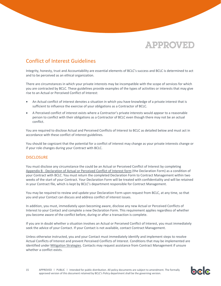### <span id="page-15-0"></span>Conflict of Interest Guidelines

Integrity, honesty, trust and Accountability are essential elements of BCLC's success and BCLC is determined to act and to be perceived as an ethical organization.

There are circumstances in which your private interests may be incompatible with the scope of services for which you are contracted by BCLC. These guidelines provide examples of the types of activities or interests that may give rise to an Actual or Perceived Conflict of Interest:

- An Actual conflict of interest denotes a situation in which you have knowledge of a private interest that is sufficient to influence the exercise of your obligations as a Contractor of BCLC.
- A Perceived conflict of interest exists where a Contractor's private interests would appear to a reasonable person to conflict with their obligations as a Contractor of BCLC even though there may not be an actual conflict.

You are required to disclose Actual and Perceived Conflicts of Interest to BCLC as detailed below and must act in accordance with these conflict of interest guidelines.

You should be cognizant that the potential for a conflict of interest may change as your private interests change or if your role changes during your Contract with BCLC.

#### <span id="page-15-1"></span>**DISCLOSURE**

You must disclose any circumstance the could be an Actual or Perceived Conflict of Interest by completing Appendix B - [Declaration of Actual or Perceived Conflict of Interest form](#page-31-0) (the Declaration Form) as a condition of your Contract with BCLC. You must return the completed Declaration Form to Contract Management within two weeks of the start of your Contract. Your Declaration Form will be treated with confidentiality and will be retained in your Contract file, which is kept by BCLC's department responsible for Contract Management.

You may be required to review and update your Declaration Form upon request from BCLC, at any time, so that you and your Contact can discuss and address conflict of interest issues.

In addition, you must, immediately upon becoming aware, disclose any new Actual or Perceived Conflicts of Interest to your Contact and complete a new Declaration Form. This requirement applies regardless of whether you become aware of the conflict before, during or after a transaction is complete.

If you are in doubt whether a situation involves an Actual or Perceived Conflict of Interest, you must immediately seek the advice of your Contact. If your Contact is not available, contact Contract Management.

Unless otherwise instructed, you and your Contact must immediately identify and implement steps to resolve Actual Conflicts of Interest and prevent Perceived Conflicts of Interest. Conditions that may be implemented are identified unde[r Mitigation Strategies.](#page-19-0) Contacts may request assistance from Contract Management if unsure whether a conflict exists.

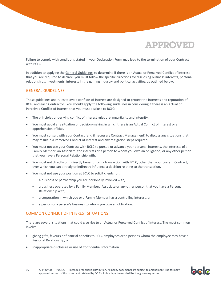bclc

Failure to comply with conditions stated in your Declaration Form may lead to the termination of your Contract with BCLC.

In addition to applying th[e General Guidelines](#page-16-0) to determine if there is an Actual or Perceived Conflict of Interest that you are required to declare, you must follow the specific directions for disclosing business interests, personal relationships, investments, interests in the gaming industry and political activities, as outlined below.

#### <span id="page-16-0"></span>GENERAL GUIDELINES

These guidelines and rules to avoid conflicts of interest are designed to protect the interests and reputation of BCLC and each Contractor. You should apply the following guidelines in considering if there is an Actual or Perceived Conflict of Interest that you must disclose to BCLC:

- The principles underlying conflict of interest rules are impartiality and integrity.
- You must avoid any situation or decision-making in which there is an Actual Conflict of Interest or an apprehension of bias.
- You must consult with your Contact (and if necessary Contract Management) to discuss any situations that may result in a Perceived Conflict of Interest and any mitigation steps required.
- You must not use your Contract with BCLC to pursue or advance your personal interests, the interests of a Family Member, an Associate, the interests of a person to whom you owe an obligation, or any other person that you have a Personal Relationship with.
- You must not directly or indirectly benefit from a transaction with BCLC, other than your current Contract, over which you can directly or indirectly influence a decision relating to the transaction.
- You must not use your position at BCLC to solicit clients for:
	- a business or partnership you are personally involved with,
	- a business operated by a Family Member, Associate or any other person that you have a Personal Relationship with,
	- a corporation in which you or a Family Member has a controlling interest, or
	- a person or a person's business to whom you owe an obligation.

#### <span id="page-16-1"></span>COMMON CONFLICT OF INTEREST SITUATIONS

There are several situations that could give rise to an Actual or Perceived Conflict of Interest. The most common involve:

- giving gifts, favours or financial benefits to BCLC employees or to persons whom the employee may have a Personal Relationship, or
- Inappropriate disclosure or use of Confidential Information.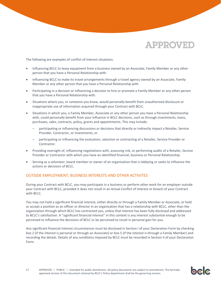

The following are examples of conflict of interest situations:

- Influencing BCLC to lease equipment from a business owned by an Associate, Family Member or any other person that you have a Personal Relationship with.
- Influencing BCLC to make its travel arrangements through a travel agency owned by an Associate, Family Member or any other person that you have a Personal Relationship with.
- Participating in a decision or influencing a decision to hire or promote a Family Member or any other person that you have a Personal Relationship with.
- Situations where you, or someone you know, would personally benefit from unauthorized disclosure or inappropriate use of information acquired through your Contract with BCLC.
- Situations in which you, a Family Member, Associate or any other person you have a Personal Relationship with, could personally benefit from your influence in BCLC decisions, such as through investments, loans, purchases, sales, contracts, policy, grants and appointments. This may include:
	- participating or influencing discussions or decisions that directly or indirectly impact a Retailer, Service Provider, Contractor, or investments; or
	- participating or influencing the evaluation, selection or contracting of a Retailer, Service Provider or Contractor.
- Providing oversight of, influencing negotiations with, assessing risk, or performing audits of a Retailer, Service Provider or Contractor with which you have an identified financial, business or Personal Relationship.
- Serving as a volunteer, board member or owner of an organization that is lobbying or seeks to influence the actions or decisions of BCLC.

#### <span id="page-17-0"></span>OUTSIDE EMPLOYMENT, BUSINESS INTERESTS AND OTHER ACTIVITES

During your Contract with BCLC, you may participate in a business or perform other work for an employer outside your Contract with BCLC, provided it does not result in an Actual Conflict of Interest or breach of your Contract with BCLC.

You may not hold a significant financial interest, either directly or through a Family Member or Associate, or hold or accept a position as an officer or director in an organization that has a relationship with BCLC, other than the organization through which BCLC has contracted you, unless that interest has been fully disclosed and addressed to BCLC's satisfaction. A "significant financial interest" in this context is any interest substantial enough to be perceived to influence the decisions of BCLC or be perceived to result in personal gain for you.

Any significant financial interest circumstances must be disclosed in Section I of your Declaration Form by checking box 2 (if the interest is personal or through an Associate) or box 5 (if the interest is through a Family Member) and recording the details. Details of any conditions imposed by BCLC must be recorded in Section II of your Declaration Form.

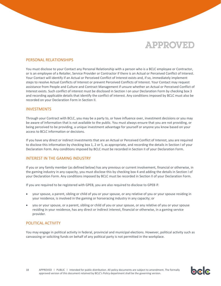

#### <span id="page-18-0"></span>PERSONAL RELATIONSHIPS

You must disclose to your Contact any Personal Relationship with a person who is a BCLC employee or Contractor, or is an employee of a Retailer, Service Provider or Contractor if there is an Actual or Perceived Conflict of Interest. Your Contact will identify if an Actual or Perceived Conflict of Interest exists and, if so, immediately implement steps to resolve Actual Conflicts of Interest or prevent Perceived Conflicts of Interest. Your Contact may request assistance from People and Culture and Contract Management if unsure whether an Actual or Perceived Conflict of Interest exists. Such conflict of interest must be disclosed in Section I on your Declaration Form by checking box 3 and recording applicable details that identify the conflict of interest. Any conditions imposed by BCLC must also be recorded on your Declaration Form in Section II.

#### <span id="page-18-1"></span>INVESTMENTS

Through your Contract with BCLC, you may be a party to, or have influence over, investment decisions or you may be aware of information that is not available to the public. You must always ensure that you are not providing, or being perceived to be providing, a unique investment advantage for yourself or anyone you know based on your access to BCLC information or decisions.

If you have any direct or indirect investments that are an Actual or Perceived Conflict of Interest, you are required to disclose this information by checking box 1, 2 or 5, as appropriate, and recording the details in Section I of your Declaration Form. Any conditions imposed by BCLC must be recorded in Section II of your Declaration Form.

#### <span id="page-18-2"></span>INTEREST IN THE GAMING INDUSTRY

If you or any family member (as defined below) has any previous or current involvement, financial or otherwise, in the gaming industry in any capacity, you must disclose this by checking box 4 and adding the details in Section I of your Declaration Form. Any conditions imposed by BCLC must be recorded in Section II of your Declaration Form.

If you are required to be registered with GPEB, you are also required to disclose to GPEB if:

- your spouse, a parent, sibling or child of you or your spouse, or any relative of you or your spouse residing in your residence, is involved in the gaming or horseracing industry in any capacity; or
- you or your spouse, or a parent, sibling or child of you or your spouse, or any relative of you or your spouse residing in your residence, has any direct or indirect interest, financial or otherwise, in a gaming service provider.

#### <span id="page-18-3"></span>POLITICAL ACTIVITY

You may engage in political activity in federal, provincial and municipal elections. However, political activity such as canvassing or soliciting funds on behalf of any political party is not permitted in the workplace.

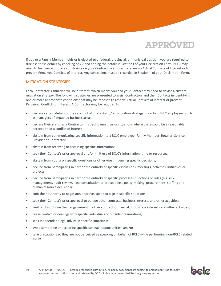If you or a Family Member holds or is elected to a federal, provincial, or municipal position, you are required to disclose these details by checking box 7 and adding the details in Section I of your Declaration Form. BCLC may need to terminate or place constraints on your Contract to ensure there are no Actual Conflicts of Interest or to prevent Perceived Conflicts of Interest. Any constraints must be recorded in Section II of your Declaration Form.

#### <span id="page-19-0"></span>MITIGATION STRATEGIES

Each Contractor's situation will be different, which means you and your Contact may need to devise a custom mitigation strategy. The following strategies are presented to assist Contractors and their Contacts in identifying one or more appropriate conditions that may be imposed to resolve Actual Conflicts of Interest or prevent Perceived Conflicts of Interest. A Contractor may be required to:

- declare certain details of their conflict of interest and/or mitigation strategy to certain BCLC employees, such as managers of impacted business areas;
- declare their status as a Contractor in specific meetings or situations where there could be a reasonable perception of a conflict of interest;
- abstain from communicating specific information to a BCLC employee, Family Member, Retailer, Service Provider or Contractor;
- abstain from receiving or accessing specific information;
- seek their Contact's prior approval and/or limit use of BCLC's information, time or resources;
- abstain from voting on specific questions or otherwise influencing specific decisions;
- decline from participating in part or the entirety of specific discussions, meetings, activities, initiatives or projects;
- decline from participating in part or the entirety of specific processes, functions or roles (e.g. risk management, audit review, legal consultation or proceedings, policy-making, procurement, staffing and human resource decisions);
- limit their authority to negotiate, approve, spend or sign in specific situations;
- seek their Contact's prior approval to pursue other contracts, business interests and other activities;
- limit or discontinue their engagement in other contracts, financial or business interests and other activities;
- cease contact or dealings with specific individuals or outside organizations;
- seek independent legal advice in specific situations;
- avoid competing or accepting specific contract opportunities; and/or
- take precautions so they are not perceived as speaking on behalf of BCLC while performing non-BCLC related duties.

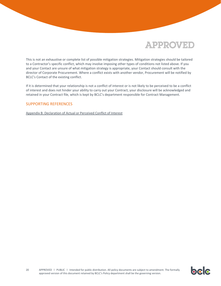This is not an exhaustive or complete list of possible mitigation strategies. Mitigation strategies should be tailored to a Contractor's specific conflict, which may involve imposing other types of conditions not listed above. If you and your Contact are unsure of what mitigation strategy is appropriate, your Contact should consult with the director of Corporate Procurement. Where a conflict exists with another vendor, Procurement will be notified by BCLC's Contact of the existing conflict.

If it is determined that your relationship is not a conflict of interest or is not likely to be perceived to be a conflict of interest and does not hinder your ability to carry out your Contract, your disclosure will be acknowledged and retained in your Contract file, which is kept by BCLC's department responsible for Contract Management.

#### <span id="page-20-0"></span>SUPPORTING REFERENCES

[Appendix B: Declaration of Actual or Perceived Conflict of Interest](#page-31-0)

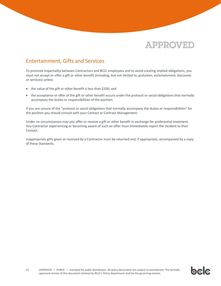

### <span id="page-21-0"></span>Entertainment, Gifts and Services

To promote impartiality between Contractors and BCLC employees and to avoid creating implied obligations, you must not accept or offer a gift or other benefit (including, but not limited to, gratuities, entertainment, discounts or services) unless:

- the value of the gift or other benefit is less than \$100; and
- the acceptance or offer of the gift or other benefit occurs under the protocol or social obligations that normally accompany the duties or responsibilities of the position.

If you are unsure of the "protocol or social obligations that normally accompany the duties or responsibilities" for the position you should consult with your Contact or Contract Management.

Under no circumstances may you offer or receive a gift or other benefit in exchange for preferential treatment. Any Contractor experiencing or becoming aware of such an offer must immediately report the incident to their Contact.

Inappropriate gifts given or received by a Contractor must be returned and, if appropriate, accompanied by a copy of these Standards.

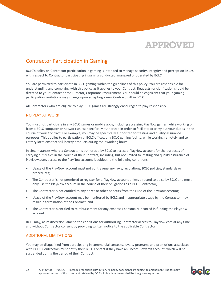

bele

### <span id="page-22-0"></span>Contractor Participation in Gaming

BCLC's policy on Contractor participation in gaming is intended to manage security, integrity and perception issues with respect to Contractor participating in gaming conducted, managed or operated by BCLC.

You are permitted to participate in BCLC gaming within the guidelines of this policy. You are responsible for understanding and complying with this policy as it applies to your Contract. Requests for clarification should be directed to your Contact or the Director, Corporate Procurement. You should be cognizant that your gaming participation limitations may change upon accepting a new Contract within BCLC.

All Contractors who are eligible to play BCLC games are strongly encouraged to play responsibly.

#### <span id="page-22-1"></span>NO PLAY AT WORK

You must not participate in any BCLC games or mobile apps, including accessing PlayNow games, while working or from a BCLC computer or network unless specifically authorized in order to facilitate or carry out your duties in the course of your Contract. For example, you may be specifically authorized for testing and quality assurance purposes. This applies to participation at BCLC offices, any BCLC gaming facility, while working remotely and to Lottery locations that sell lottery products during their working hours.

In circumstances where a Contractor is authorized by BCLC to access a PlayNow account for the purposes of carrying out duties in the course of their Contract, including, but not limited to, testing and quality assurance of PlayNow.com, access to the PlayNow account is subject to the following conditions:

- Usage of the PlayNow account must not contravene any laws, regulations, BCLC policies, standards or procedures;
- The Contractor is not permitted to register for a PlayNow account unless directed to do so by BCLC and must only use the PlayNow account in the course of their obligations as a BCLC Contractor;
- The Contractor is not entitled to any prizes or other benefits from their use of the PlayNow account;
- Usage of the PlayNow account may be monitored by BCLC and inappropriate usage by the Contractor may result in termination of the Contract; and
- The Contractor is entitled to reimbursement for any expenses personally incurred in funding the PlayNow account.

BCLC may, at its discretion, amend the conditions for authorizing Contractor access to PlayNow.com at any time and without Contractor consent by providing written notice to the applicable Contractor.

#### <span id="page-22-2"></span>ADDITIONAL LIMITATIONS

You may be disqualified from participating in commercial contests, loyalty programs and promotions associated with BCLC. Contractors must notify their BCLC Contact if they have an Encore Rewards account, which will be suspended during the period of their Contract.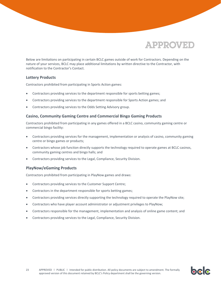

bclc

Below are limitations on participating in certain BCLC games outside of work for Contractors. Depending on the nature of your services, BCLC may place additional limitations by written directive to the Contractor, with notification to the Contractor's Contact.

#### **Lottery Products**

Contractors prohibited from participating in Sports Action games:

- Contractors providing services to the department responsible for sports betting games;
- Contractors providing services to the department responsible for Sports Action games; and
- Contractors providing services to the Odds Setting Advisory group.

#### **Casino, Community Gaming Centre and Commercial Bingo Gaming Products**

Contractors prohibited from participating in any games offered in a BCLC casino, community gaming centre or commercial bingo facility:

- Contractors providing services for the management, implementation or analysis of casino, community gaming centre or bingo games or products;
- Contractors whose job function directly supports the technology required to operate games at BCLC casinos, community gaming centres and bingo halls; and
- Contractors providing services to the Legal, Compliance, Security Division.

#### **PlayNow/eGaming Products**

Contractors prohibited from participating in PlayNow games and draws:

- Contractors providing services to the Customer Support Centre;
- Contractors in the department responsible for sports betting games;
- Contractors providing services directly supporting the technology required to operate the PlayNow site;
- Contractors who have player account administrator or adjustment privileges to PlayNow;
- Contractors responsible for the management, implementation and analysis of online game content; and
- Contractors providing services to the Legal, Compliance, Security Division.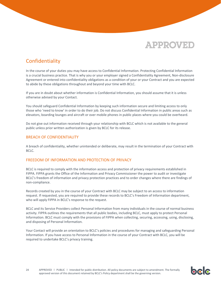

### <span id="page-24-0"></span>Confidentiality

In the course of your duties you may have access to Confidential Information. Protecting Confidential Information is a crucial business practice. That is why you or your employer signed a Confidentiality Agreement, Non-disclosure Agreement or entered into confidentiality obligations as a condition of your or your Contract and you are expected to abide by these obligations throughout and beyond your time with BCLC.

If you are in doubt about whether information is Confidential Information, you should assume that it is unless otherwise advised by your Contact.

You should safeguard Confidential Information by keeping such information secure and limiting access to only those who 'need to know' in order to do their job. Do not discuss Confidential Information in public areas such as elevators, boarding lounges and aircraft or over mobile phones in public places where you could be overheard.

Do not give out information received through your relationship with BCLC which is not available to the general public unless prior written authorization is given by BCLC for its release.

#### <span id="page-24-1"></span>BREACH OF CONFIDENTIALITY

A breach of confidentiality, whether unintended or deliberate, may result in the termination of your Contract with BCLC.

#### <span id="page-24-2"></span>FREEDOM OF INFORMATION AND PROTECTION OF PRIVACY

BCLC is required to comply with the information access and protection of privacy requirements established in FIPPA. FIPPA grants the Office of the Information and Privacy Commissioner the power to audit or investigate BCLC's freedom of information and privacy protection practices and to order changes where there are findings of non-compliance.

Records created by you in the course of your Contract with BCLC may be subject to an access to information request. If requested, you are required to provide these records to BCLC's Freedom of Information department, who will apply FIPPA in BCLC's response to the request.

BCLC and its Service Providers collect Personal Information from many individuals in the course of normal business activity. FIPPA outlines the requirements that all public bodies, including BCLC, must apply to protect Personal Information. BCLC must comply with the provisions of FIPPA when collecting, securing, accessing, using, disclosing, and disposing of Personal Information.

Your Contact will provide an orientation to BCLC's policies and procedures for managing and safeguarding Personal Information. If you have access to Personal Information in the course of your Contract with BCLC, you will be required to undertake BCLC's privacy training.

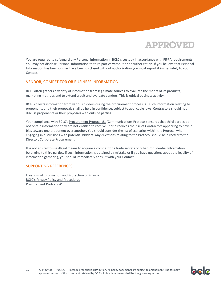You are required to safeguard any Personal Information in BCLC's custody in accordance with FIPPA requirements. You may not disclose Personal Information to third parties without prior authorization. If you believe that Personal Information has been or may have been disclosed without authorization you must report it immediately to your Contact.

#### <span id="page-25-0"></span>VENDOR, COMPETITOR OR BUSINESS INFORMATION

BCLC often gathers a variety of information from legitimate sources to evaluate the merits of its products, marketing methods and to extend credit and evaluate vendors. This is ethical business activity.

BCLC collects information from various bidders during the procurement process. All such information relating to proponents and their proposals shall be held in confidence, subject to applicable laws. Contractors should not discuss proponents or their proposals with outside parties.

Your compliance with BCLC's [Procurement Protocol #1](https://corporate.bclc.com/content/dam/bclccorporate/reports/policies-and-procedures/no-date/procurement-protocol-updated.pdf) (Communications Protocol) ensures that third parties do not obtain information they are not entitled to receive. It also reduces the risk of Contractors appearing to have a bias toward one proponent over another. You should consider the list of scenarios within the Protocol when engaging in discussions with potential bidders. Any questions relating to the Protocol should be directed to the Director, Corporate Procurement.

It is not ethical to use illegal means to acquire a competitor's trade secrets or other Confidential Information belonging to third parties. If such information is obtained by mistake or if you have questions about the legality of information gathering, you should immediately consult with your Contact.

#### <span id="page-25-1"></span>SUPPORTING REFERENCES

[Freedom of Information and Protection of Privacy](http://corporate.bclc.com/content/dam/bclc/corporate/documents/freedom-of-information-requests.pdf) [BCLC's Privacy Policy and Procedures](http://corporate.bclc.com/content/dam/bclc/corporate/documents/privacy-policy.pdf) Procurement Protocol #1

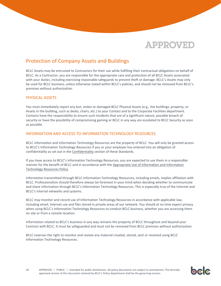

### <span id="page-26-0"></span>Protection of Company Assets and Buildings

BCLC Assets may be entrusted to Contractors for their use while fulfilling their contractual obligations on behalf of BCLC. As a Contractor, you are responsible for the appropriate care and protection of all BCLC Assets associated with your duties, including exercising reasonable safeguards to prevent theft or damage. BCLC's Assets may only be used for BCLC business, unless otherwise stated within BCLC's policies, and should not be removed from BCLC's premises without authorization.

#### <span id="page-26-1"></span>PHYSICAL ASSETS

You must immediately report any lost, stolen or damaged BCLC Physical Assets (e.g., the buildings, property, or Assets in the building, such as desks, chairs, etc.) to your Contact and to the Corporate Facilities department. Contacts have the responsibility to ensure such incidents that are of a significant nature, possible breach of security or have the possibility of compromising gaming or BCLC in any way are escalated to BCLC Security as soon as possible.

#### <span id="page-26-2"></span>INFORMATION AND ACCESS TO INFORMATION TECHNOLOGY RESOURCES

BCLC information and Information Technology Resources are the property of BCLC. You will only be granted access to BCLC's Information Technology Resources if you or your employer has entered into an obligation of confidentiality as set out in the [Confidentiality](#page-24-0) section of these Standards.

If you have access to BCLC's Information Technology Resources, you are expected to use them in a responsible manner for the benefit of BCLC and in accordance with the [Appropriate Use of Information and Information](http://corporate.bclc.com/content/dam/bclc/corporate/documents/information-security-general.pdf)  [Technology Resources Policy.](http://corporate.bclc.com/content/dam/bclc/corporate/documents/information-security-general.pdf)

Information transmitted through BCLC Information Technology Resources, including emails, implies affiliation with BCLC. Professionalism should therefore always be foremost in your mind when deciding whether to communicate and share information through BCLC's Information Technology Resources. This is especially true of the Internet and BCLC's internal networks and systems.

BCLC may monitor and record use of Information Technology Resources in accordance with applicable law, including email, Internet use and files stored in private areas of our network. You should at no time expect privacy when using BCLC's Information Technology Resources to conduct BCLC business, whether you are accessing them on site or from a remote location.

Information related to BCLC's business in any way remains the property of BCLC throughout and beyond your Contract with BCLC. It must be safeguarded and must not be removed from BCLC premises without authorization.

BCLC reserves the right to monitor and review any material created, stored, sent or received using BCLC Information Technology Resources.

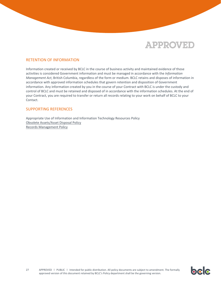

#### <span id="page-27-0"></span>RETENTION OF INFORMATION

Information created or received by BCLC in the course of business activity and maintained evidence of those activities is considered Government information and must be managed in accordance with the *Information Management Act*, British Columbia, regardless of the form or medium. BCLC retains and disposes of information in accordance with approved information schedules that govern retention and disposition of Government information. Any information created by you in the course of your Contract with BCLC is under the custody and control of BCLC and must be retained and disposed of in accordance with the information schedules. At the end of your Contract, you are required to transfer or return all records relating to your work on behalf of BCLC to your Contact.

#### <span id="page-27-1"></span>SUPPORTING REFERENCES

Appropriate Use of Information and Information Technology Resources Policy [Obsolete Assets/Asset Disposal Policy](http://corporate.bclc.com/content/dam/bclc/corporate/documents/obsolete-assets-and-asset-disposal.pdf) [Records Management Policy](http://corporate.bclc.com/content/dam/bclc/corporate/documents/records-management-policy.pdf)

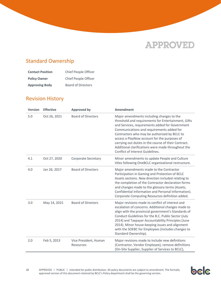### <span id="page-28-0"></span>Standard Ownership

| <b>Contact Position</b> | Chief People Officer      |
|-------------------------|---------------------------|
| <b>Policy Owner</b>     | Chief People Officer      |
| <b>Approving Body</b>   | <b>Board of Directors</b> |

### <span id="page-28-1"></span>Revision History

| <b>Version</b> | <b>Effective</b> | <b>Approved by</b>                 | <b>Amendment</b>                                                                                                                                                                                                                                                                                                                                                                                                                                   |
|----------------|------------------|------------------------------------|----------------------------------------------------------------------------------------------------------------------------------------------------------------------------------------------------------------------------------------------------------------------------------------------------------------------------------------------------------------------------------------------------------------------------------------------------|
| 5.0            | Oct 26, 2021     | <b>Board of Directors</b>          | Major amendments including changes to the<br>threshold and requirements for Entertainment, Gifts<br>and Services, requirements added for Government<br>Communications and requirements added for<br>Contractors who may be authorized by BCLC to<br>access a PlayNow account for the purposes of<br>carrying out duties in the course of their Contract.<br>Additional clarifications were made throughout the<br>Conflict of Interest Guidelines. |
| 4.1            | Oct 27, 2020     | <b>Corporate Secretary</b>         | Minor amendments to update People and Culture<br>titles following OneBCLC organizational restructure.                                                                                                                                                                                                                                                                                                                                              |
| 4.0            | Jan 26, 2017     | <b>Board of Directors</b>          | Major amendments made to the Contractor<br>Participation in Gaming and Protection of BCLC<br>Assets sections. New direction included relating to<br>the completion of the Contractor declaration forms<br>and changes made to the glossary terms (Assets,<br>Confidential Information and Personal Information).<br>Corporate Computing Resources definition added.                                                                                |
| 3.0            | May 14, 2015     | <b>Board of Directors</b>          | Major revisions made to conflict of interest and<br>escalation of concerns. Additional changes made to<br>align with the provincial government's Standards of<br>Conduct Guidelines for the B.C. Public Sector (July<br>2014) and Taxpayer Accountability Principles (June<br>2014). Minor house-keeping issues and alignment<br>with the SOEBC for Employees (includes changes to<br>Standard Ownership).                                         |
| 2.0            | Feb 5, 2013      | Vice President, Human<br>Resources | Major revisions made to include new definitions<br>(Contractor, Vendor Employee), remove definitions<br>(On-Site Supplier, Supplier of Services to BCLC),                                                                                                                                                                                                                                                                                          |

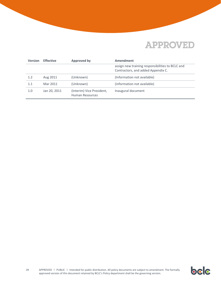| <b>Version</b> | <b>Effective</b> | <b>Approved by</b>                           | Amendment                                                                              |
|----------------|------------------|----------------------------------------------|----------------------------------------------------------------------------------------|
|                |                  |                                              | assign new training responsibilities to BCLC and<br>Contractors, and added Appendix C. |
| 1.2            | Aug 2011         | (Unknown)                                    | (Information not available)                                                            |
| 1.1            | Mar 2011         | (Unknown)                                    | (information not available)                                                            |
| 1.0            | Jan 20, 2011     | (Interim) Vice President,<br>Human Resources | Inaugural document                                                                     |

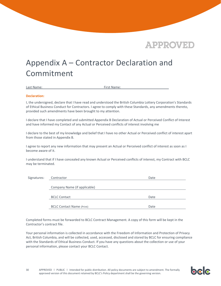

bcc

## <span id="page-30-0"></span>Appendix A – Contractor Declaration and Commitment

Last Name: The Contract of the Contract of the First Name:

#### **Declaration:**

I, the undersigned, declare that I have read and understood the British Columbia Lottery Corporation's Standards of Ethical Business Conduct for Contractors. I agree to comply with these Standards, any amendments thereto, provided such amendments have been brought to my attention.

I declare that I have completed and submitted Appendix B Declaration of Actual or Perceived Conflict of Interest and have informed my Contact of any Actual or Perceived conflicts of interest involving me

I declare to the best of my knowledge and belief that I have no other Actual or Perceived conflict of interest apart from those stated in Appendix B.

I agree to report any new information that may present an Actual or Perceived conflict of interest as soon as I become aware of it.

I understand that if I have concealed any known Actual or Perceived conflicts of interest, my Contract with BCLC may be terminated.

| Signatures: | Contractor                       | Date |
|-------------|----------------------------------|------|
|             | Company Name (if applicable)     |      |
|             | <b>BCLC Contact</b>              | Date |
|             | <b>BCLC Contact Name (Print)</b> | Date |

Completed forms must be forwarded to BCLC Contract Management. A copy of this form will be kept in the Contractor's contract file.

Your personal information is collected in accordance with the Freedom of Information and Protection of Privacy Act, British Columbia, and will be collected, used, accessed, disclosed and stored by BCLC for ensuring compliance with the Standards of Ethical Business Conduct. If you have any questions about the collection or use of your personal information, please contact your BCLC Contact.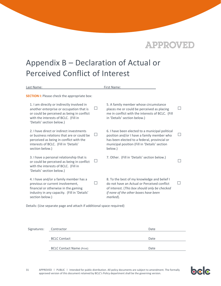

### <span id="page-31-0"></span>Appendix B – Declaration of Actual or Perceived Conflict of Interest

| Last Name:                                                                                                                                                                                                     | First Name:                                                                                                                                                                                                                 |  |  |  |  |
|----------------------------------------------------------------------------------------------------------------------------------------------------------------------------------------------------------------|-----------------------------------------------------------------------------------------------------------------------------------------------------------------------------------------------------------------------------|--|--|--|--|
| <b>SECTION I:</b> Please check the appropriate box:                                                                                                                                                            |                                                                                                                                                                                                                             |  |  |  |  |
| 1. I am directly or indirectly involved in<br>ப<br>another enterprise or occupation that is<br>or could be perceived as being in conflict<br>with the interests of BCLC. (Fill in<br>'Details' section below.) | 5. A family member whose circumstance<br>places me or could be perceived as placing<br>me in conflict with the interests of BCLC. (Fill<br>in 'Details' section below.)                                                     |  |  |  |  |
| 2. I have direct or indirect investments<br>$\perp$<br>or business relations that are or could be<br>perceived as being in conflict with the<br>interests of BCLC. (Fill in 'Details'<br>section below.)       | 6. I have been elected to a municipal political<br>$\blacksquare$<br>position and/or I have a family member who<br>has been elected to a federal, provincial or<br>municipal position (Fill in 'Details' section<br>below.) |  |  |  |  |
| 3. I have a personal relationship that is<br>or could be perceived as being in conflict<br>with the interests of BCLC. (Fill in<br>'Details' section below.)                                                   | 7. Other. (Fill in 'Details' section below.)                                                                                                                                                                                |  |  |  |  |
| 4. I have and/or a family member has a<br>previous or current involvement,<br>financial or otherwise in the gaming<br>industry in any capacity. (Fill in 'Details'<br>section below.)                          | 8. To the best of my knowledge and belief I<br>do not have an Actual or Perceived conflict<br>of interest. (This box should only be checked<br>if none of the other boxes have been<br>marked).                             |  |  |  |  |

Details: (Use separate page and attach if additional space required)

| Signatures: Contractor |                                  | Date |  |
|------------------------|----------------------------------|------|--|
|                        | <b>BCLC Contact</b>              | Date |  |
|                        | <b>BCLC Contact Name (Print)</b> | Date |  |

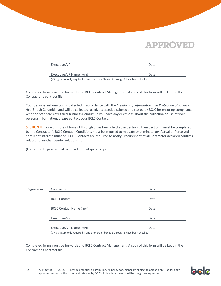| Executive/VP              | Date |
|---------------------------|------|
| Executive/VP Name (Print) | Date |

(VP signature only required if one or more of boxes 1 through 6 have been checked)

Completed forms must be forwarded to BCLC Contract Management. A copy of this form will be kept in the Contractor's contract file.

Your personal information is collected in accordance with the *Freedom of Information and Protection of Privacy Act*, British Columbia, and will be collected, used, accessed, disclosed and stored by BCLC for ensuring compliance with the Standards of Ethical Business Conduct. If you have any questions about the collection or use of your personal information, please contact your BCLC Contact.

**SECTION II:** If one or more of boxes 1 through 6 has been checked in Section I, then Section II must be completed by the Contractor's BCLC Contact. Conditions must be imposed to mitigate or eliminate any Actual or Perceived conflict of interest situation. BCLC Contacts are required to notify Procurement of all Contractor declared conflicts related to another vendor relationship.

(Use separate page and attach if additional space required)

| Signatures: | Contractor                                                                     | Date |  |  |
|-------------|--------------------------------------------------------------------------------|------|--|--|
|             |                                                                                |      |  |  |
|             | <b>BCLC Contact</b>                                                            | Date |  |  |
|             |                                                                                |      |  |  |
|             | <b>BCLC Contact Name (Print)</b>                                               | Date |  |  |
|             |                                                                                |      |  |  |
|             | Executive/VP                                                                   | Date |  |  |
|             |                                                                                |      |  |  |
|             | Executive/VP Name (Print)                                                      | Date |  |  |
|             | UD six that we get used if and as more of house 1 through Chaus heads abodical |      |  |  |

(VP signature only required if one or more of boxes 1 through 6 have been checked)

Completed forms must be forwarded to BCLC Contract Management. A copy of this form will be kept in the Contractor's contract file.